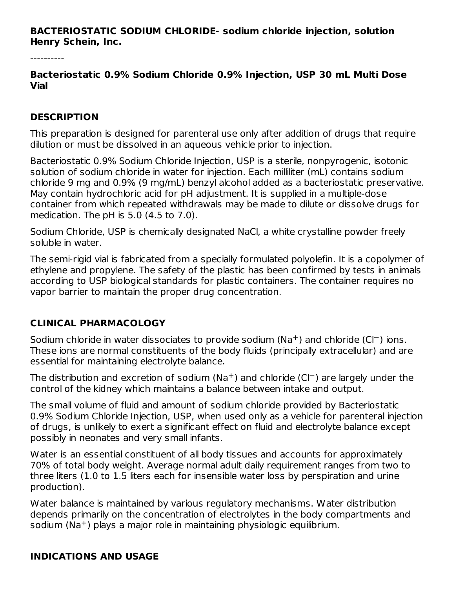#### **BACTERIOSTATIC SODIUM CHLORIDE- sodium chloride injection, solution Henry Schein, Inc.**

**Bacteriostatic 0.9% Sodium Chloride 0.9% Injection, USP 30 mL Multi Dose Vial**

#### **DESCRIPTION**

This preparation is designed for parenteral use only after addition of drugs that require dilution or must be dissolved in an aqueous vehicle prior to injection.

Bacteriostatic 0.9% Sodium Chloride Injection, USP is a sterile, nonpyrogenic, isotonic solution of sodium chloride in water for injection. Each milliliter (mL) contains sodium chloride 9 mg and 0.9% (9 mg/mL) benzyl alcohol added as a bacteriostatic preservative. May contain hydrochloric acid for pH adjustment. It is supplied in a multiple-dose container from which repeated withdrawals may be made to dilute or dissolve drugs for medication. The pH is 5.0 (4.5 to 7.0).

Sodium Chloride, USP is chemically designated NaCl, a white crystalline powder freely soluble in water.

The semi-rigid vial is fabricated from a specially formulated polyolefin. It is a copolymer of ethylene and propylene. The safety of the plastic has been confirmed by tests in animals according to USP biological standards for plastic containers. The container requires no vapor barrier to maintain the proper drug concentration.

### **CLINICAL PHARMACOLOGY**

Sodium chloride in water dissociates to provide sodium (Na<sup>+</sup>) and chloride (C $\vdash$ ) ions. These ions are normal constituents of the body fluids (principally extracellular) and are essential for maintaining electrolyte balance.

The distribution and excretion of sodium (Na<sup>+</sup>) and chloride (Cl<sup>-</sup>) are largely under the control of the kidney which maintains a balance between intake and output.

The small volume of fluid and amount of sodium chloride provided by Bacteriostatic 0.9% Sodium Chloride Injection, USP, when used only as a vehicle for parenteral injection of drugs, is unlikely to exert a significant effect on fluid and electrolyte balance except possibly in neonates and very small infants.

Water is an essential constituent of all body tissues and accounts for approximately 70% of total body weight. Average normal adult daily requirement ranges from two to three liters (1.0 to 1.5 liters each for insensible water loss by perspiration and urine production).

Water balance is maintained by various regulatory mechanisms. Water distribution depends primarily on the concentration of electrolytes in the body compartments and sodium (Na $^+$ ) plays a major role in maintaining physiologic equilibrium.

### **INDICATIONS AND USAGE**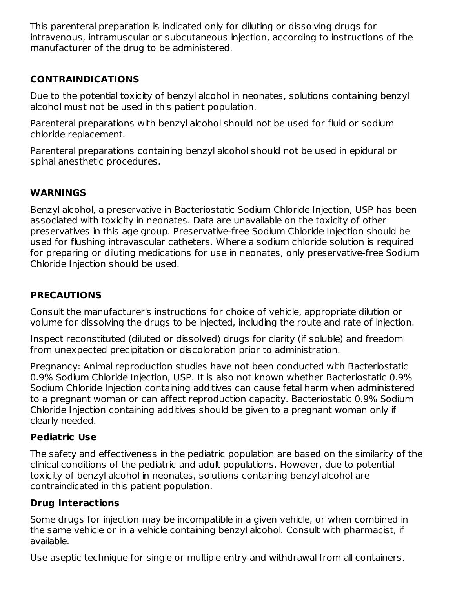This parenteral preparation is indicated only for diluting or dissolving drugs for intravenous, intramuscular or subcutaneous injection, according to instructions of the manufacturer of the drug to be administered.

## **CONTRAINDICATIONS**

Due to the potential toxicity of benzyl alcohol in neonates, solutions containing benzyl alcohol must not be used in this patient population.

Parenteral preparations with benzyl alcohol should not be used for fluid or sodium chloride replacement.

Parenteral preparations containing benzyl alcohol should not be used in epidural or spinal anesthetic procedures.

## **WARNINGS**

Benzyl alcohol, a preservative in Bacteriostatic Sodium Chloride Injection, USP has been associated with toxicity in neonates. Data are unavailable on the toxicity of other preservatives in this age group. Preservative-free Sodium Chloride Injection should be used for flushing intravascular catheters. Where a sodium chloride solution is required for preparing or diluting medications for use in neonates, only preservative-free Sodium Chloride Injection should be used.

## **PRECAUTIONS**

Consult the manufacturer's instructions for choice of vehicle, appropriate dilution or volume for dissolving the drugs to be injected, including the route and rate of injection.

Inspect reconstituted (diluted or dissolved) drugs for clarity (if soluble) and freedom from unexpected precipitation or discoloration prior to administration.

Pregnancy: Animal reproduction studies have not been conducted with Bacteriostatic 0.9% Sodium Chloride Injection, USP. It is also not known whether Bacteriostatic 0.9% Sodium Chloride Injection containing additives can cause fetal harm when administered to a pregnant woman or can affect reproduction capacity. Bacteriostatic 0.9% Sodium Chloride Injection containing additives should be given to a pregnant woman only if clearly needed.

### **Pediatric Use**

The safety and effectiveness in the pediatric population are based on the similarity of the clinical conditions of the pediatric and adult populations. However, due to potential toxicity of benzyl alcohol in neonates, solutions containing benzyl alcohol are contraindicated in this patient population.

### **Drug Interactions**

Some drugs for injection may be incompatible in a given vehicle, or when combined in the same vehicle or in a vehicle containing benzyl alcohol. Consult with pharmacist, if available.

Use aseptic technique for single or multiple entry and withdrawal from all containers.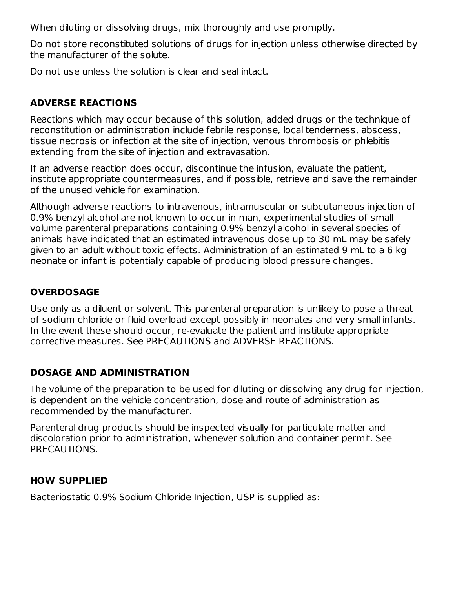When diluting or dissolving drugs, mix thoroughly and use promptly.

Do not store reconstituted solutions of drugs for injection unless otherwise directed by the manufacturer of the solute.

Do not use unless the solution is clear and seal intact.

# **ADVERSE REACTIONS**

Reactions which may occur because of this solution, added drugs or the technique of reconstitution or administration include febrile response, local tenderness, abscess, tissue necrosis or infection at the site of injection, venous thrombosis or phlebitis extending from the site of injection and extravasation.

If an adverse reaction does occur, discontinue the infusion, evaluate the patient, institute appropriate countermeasures, and if possible, retrieve and save the remainder of the unused vehicle for examination.

Although adverse reactions to intravenous, intramuscular or subcutaneous injection of 0.9% benzyl alcohol are not known to occur in man, experimental studies of small volume parenteral preparations containing 0.9% benzyl alcohol in several species of animals have indicated that an estimated intravenous dose up to 30 mL may be safely given to an adult without toxic effects. Administration of an estimated 9 mL to a 6 kg neonate or infant is potentially capable of producing blood pressure changes.

# **OVERDOSAGE**

Use only as a diluent or solvent. This parenteral preparation is unlikely to pose a threat of sodium chloride or fluid overload except possibly in neonates and very small infants. In the event these should occur, re-evaluate the patient and institute appropriate corrective measures. See PRECAUTIONS and ADVERSE REACTIONS.

# **DOSAGE AND ADMINISTRATION**

The volume of the preparation to be used for diluting or dissolving any drug for injection, is dependent on the vehicle concentration, dose and route of administration as recommended by the manufacturer.

Parenteral drug products should be inspected visually for particulate matter and discoloration prior to administration, whenever solution and container permit. See PRECAUTIONS.

## **HOW SUPPLIED**

Bacteriostatic 0.9% Sodium Chloride Injection, USP is supplied as: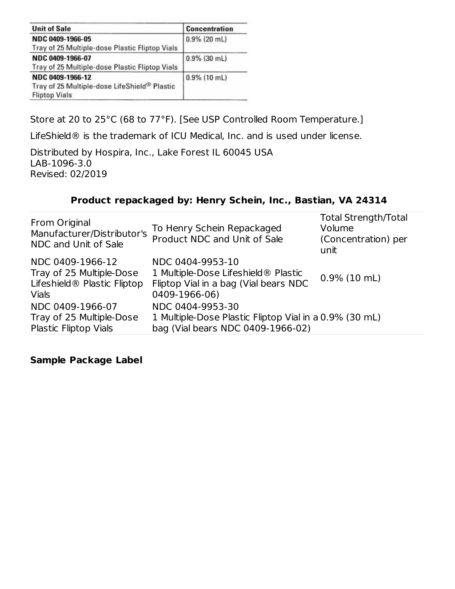| <b>Unit of Sale</b>                                                                      | <b>Concentration</b> |
|------------------------------------------------------------------------------------------|----------------------|
| NDC 0409-1966-05<br>Tray of 25 Multiple-dose Plastic Fliptop Vials                       | $0.9\%$ (20 mL)      |
| NDC 0409-1966-07<br>Tray of 25 Multiple-dose Plastic Fliptop Vials                       | $0.9\%$ (30 mL)      |
| NDC 0409-1966-12<br>Tray of 25 Multiple-dose LifeShield® Plastic<br><b>Fliptop Vials</b> | $0.9\%$ (10 mL)      |

Store at 20 to 25°C (68 to 77°F). [See USP Controlled Room Temperature.]

LifeShield<sup>®</sup> is the trademark of ICU Medical, Inc. and is used under license.

Distributed by Hospira, Inc., Lake Forest IL 60045 USA LAB-1096-3.0 Revised: 02/2019

#### **Product repackaged by: Henry Schein, Inc., Bastian, VA 24314**

| From Original<br>Manufacturer/Distributor's<br>NDC and Unit of Sale                                     | To Henry Schein Repackaged<br>Product NDC and Unit of Sale                                                        | <b>Total Strength/Total</b><br>Volume<br>(Concentration) per<br>unit |
|---------------------------------------------------------------------------------------------------------|-------------------------------------------------------------------------------------------------------------------|----------------------------------------------------------------------|
| NDC 0409-1966-12<br>Tray of 25 Multiple-Dose<br>Lifeshield <sup>®</sup> Plastic Fliptop<br><b>Vials</b> | NDC 0404-9953-10<br>1 Multiple-Dose Lifeshield® Plastic<br>Fliptop Vial in a bag (Vial bears NDC<br>0409-1966-06) | $0.9\%$ (10 mL)                                                      |
| NDC 0409-1966-07<br>Tray of 25 Multiple-Dose                                                            | NDC 0404-9953-30<br>1 Multiple-Dose Plastic Fliptop Vial in a 0.9% (30 mL)                                        |                                                                      |
| Plastic Fliptop Vials                                                                                   | bag (Vial bears NDC 0409-1966-02)                                                                                 |                                                                      |

**Sample Package Label**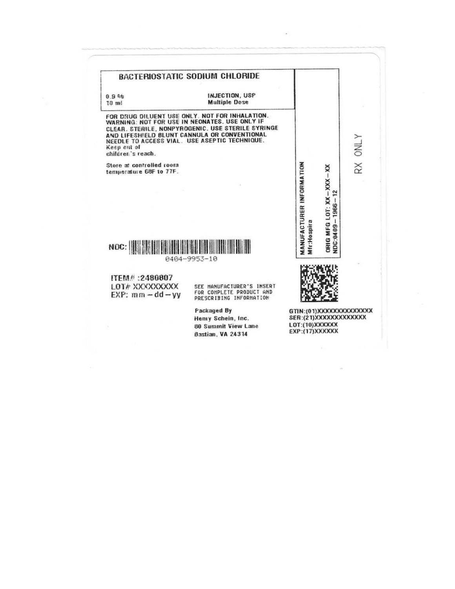|                                                                                                                                                                                    | <b>BACTERIOSTATIC SODIUM CHLORIDE</b>                                                               |                                                |                                                    |
|------------------------------------------------------------------------------------------------------------------------------------------------------------------------------------|-----------------------------------------------------------------------------------------------------|------------------------------------------------|----------------------------------------------------|
| 0.9%<br>$10 \text{ m}$                                                                                                                                                             | INJECTION, USP<br><b>Multiple Dose</b>                                                              |                                                |                                                    |
| WARNING: NOT FOR USE IN NEONATES. USE ONLY IF<br>AND LIFESHIELD BLUNT CANNULA OR CONVENTIONAL<br>NEEDLE TO ACCESS VIAL. USE ASEPTIC TECHNIQUE.<br>Keep ont of<br>children's reach. | FOR DRUG DILUENT USE ONLY. NOT FOR INHALATION.<br>CLEAR. STERILE, NONPYROGENIC. USE STERILE SYRINGE |                                                | <b>NTNO</b>                                        |
| Store at controlled room<br>temperature 68F to 77F.                                                                                                                                |                                                                                                     |                                                | $\stackrel{\times}{\approx}$<br>12                 |
|                                                                                                                                                                                    |                                                                                                     | <b>MANUFACTURER INFORMATION</b><br>Mfr:Hospira | ORIG MFG LOT: $XX - YOX - XY$<br>VDC:0409-1966-    |
| NOC: I HALL IN THE THEFT                                                                                                                                                           | 0404-9953-10                                                                                        |                                                |                                                    |
| ITEM#:2480807<br>LOT# XXXXXXXXX<br>$EXP: mm - dd - vy$                                                                                                                             | SEE MANUFACTURER'S INSERT<br>FOR COMPLETE PRODUCT AND<br>PRESCRIBING INFORMATION                    |                                                |                                                    |
|                                                                                                                                                                                    | Packaged By<br>Henry Schein, Inc.<br>80 Summit View Lane<br><b>Bastian, VA 24314</b>                | LOT:(10))OOOOOO<br>EXP:(17)XXXXXX              | GTIN:(01)XXXXXXXXXXXXXXX<br>SER:(21)XXXXXXXXXXXXXX |
|                                                                                                                                                                                    |                                                                                                     |                                                |                                                    |
|                                                                                                                                                                                    |                                                                                                     |                                                |                                                    |

 $\sim$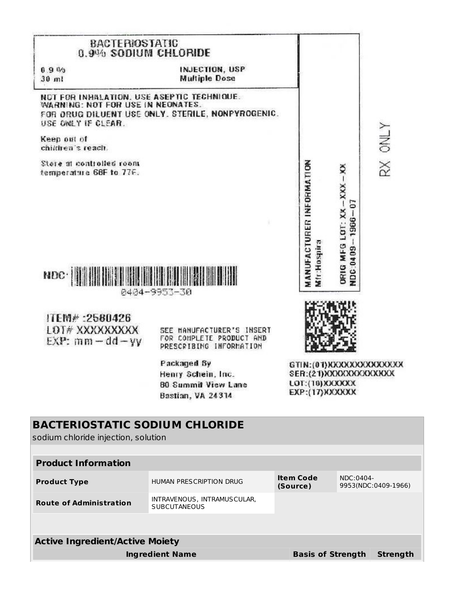| <b>Active Ingredient/Active Moiety</b>                                          | <b>Ingredient Name</b>                                                           |                              |                                         | <b>Basis of Strength</b>                            | <b>Strength</b>     |
|---------------------------------------------------------------------------------|----------------------------------------------------------------------------------|------------------------------|-----------------------------------------|-----------------------------------------------------|---------------------|
|                                                                                 |                                                                                  |                              |                                         |                                                     |                     |
| <b>Route of Administration</b>                                                  | INTRAVENOUS, INTRAMUSCULAR,<br><b>SUBCUTANEOUS</b>                               |                              |                                         |                                                     |                     |
| <b>Product Type</b>                                                             | HUMAN PRESCRIPTION DRUG                                                          | <b>Item Code</b><br>(Source) |                                         | NDC:0404-                                           | 9953(NDC:0409-1966) |
| <b>Product Information</b>                                                      |                                                                                  |                              |                                         |                                                     |                     |
|                                                                                 |                                                                                  |                              |                                         |                                                     |                     |
| <b>BACTERIOSTATIC SODIUM CHLORIDE</b><br>sodium chloride injection, solution    |                                                                                  |                              |                                         |                                                     |                     |
|                                                                                 | Bastian, VA 24314                                                                |                              |                                         |                                                     |                     |
|                                                                                 | Packaged Sy<br>Henry Schein, Inc.<br>80 Summit View Lane                         |                              | LOT: (10) XXXXXX<br>EXP:(17) XXXXXX     | GTIN: (01) KXXXXXXXXXXXX<br>SER:(21)XXXXXXXXXXXXXXX |                     |
| ITEM# :2580426<br>LOT# XXXXXXXXXX<br>$EXP:$ mm $-$ dd $-$ yy                    | SEE MANUFACTURER'S INSERT<br>FOR COMPLETE PRODUCT AND<br>PRESCRIBING INFORMATION |                              |                                         |                                                     |                     |
| Store at controlled room<br>temperature GBF to 77F.<br><b>NDC.</b>              | <b>ADAM ANG PANA</b><br>0404-9953-30                                             |                              | MANUFACTURER INFORMATION<br>Mtr:Hospira | ORIG MFG LOT: XX-XXX-X<br>67<br>1966-<br>NDC:0409   | RX ONLY             |
| USE ONLY IF CLEAR.<br>Keep out of<br>children's reach.                          | FOR ORUG DILUENT USE ONLY. STERILE, NONPYROGENIC.                                |                              |                                         |                                                     |                     |
| NOT FOR INHALATION, USE ASEPTIC TECHNIQUE.<br>WARNING: NOT FOR USE IN NEONATES. |                                                                                  |                              |                                         |                                                     |                     |
| 0.9%<br>$30$ ml                                                                 | INJECTION, USP<br><b>Multiple Dose</b>                                           |                              |                                         |                                                     |                     |
| <b>BACTERIOSTATIC</b><br>0.9% SODIUM CHLORIDE                                   |                                                                                  |                              |                                         |                                                     |                     |